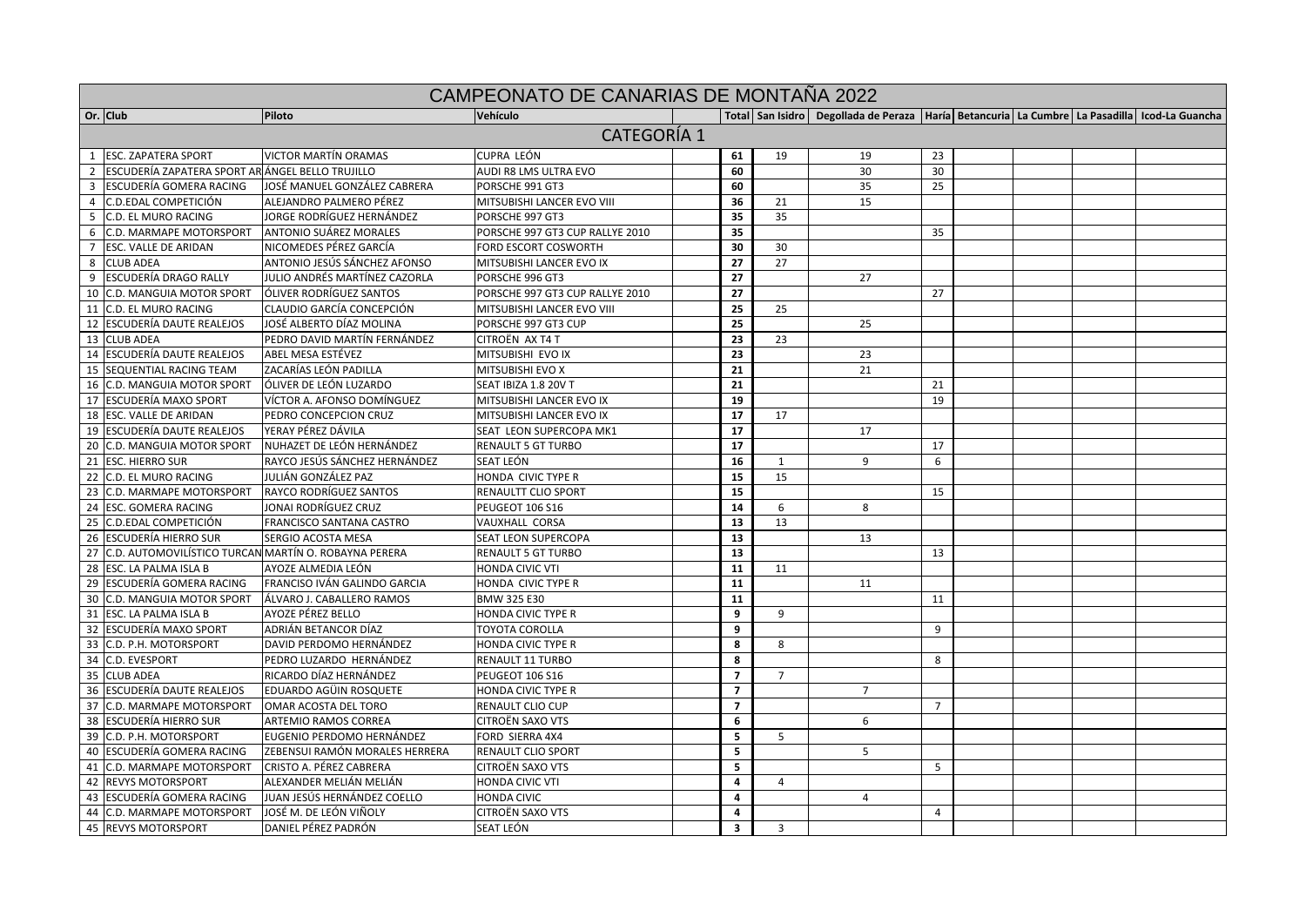|                | <b>CAMPEONATO DE CANARIAS DE MONTANA 2022</b>           |                                |                                 |                         |                |                                                                                                            |                |  |  |  |  |  |
|----------------|---------------------------------------------------------|--------------------------------|---------------------------------|-------------------------|----------------|------------------------------------------------------------------------------------------------------------|----------------|--|--|--|--|--|
|                | Or. Club                                                | Piloto                         | Vehículo                        |                         |                | Total   San Isidro   Degollada de Peraza   Haría   Betancuria   La Cumbre   La Pasadilla   Icod-La Guancha |                |  |  |  |  |  |
|                | <b>CATEGORÍA 1</b>                                      |                                |                                 |                         |                |                                                                                                            |                |  |  |  |  |  |
|                | 1 ESC. ZAPATERA SPORT                                   | <b>VICTOR MARTÍN ORAMAS</b>    | CUPRA LEÓN                      | 61                      | 19             | 19                                                                                                         | 23             |  |  |  |  |  |
|                | 2 ESCUDERÍA ZAPATERA SPORT AR ÁNGEL BELLO TRUJILLO      |                                | AUDI R8 LMS ULTRA EVO           | 60                      |                | 30                                                                                                         | 30             |  |  |  |  |  |
| $\overline{3}$ | <b>ESCUDERÍA GOMERA RACING</b>                          | JOSÉ MANUEL GONZÁLEZ CABRERA   | PORSCHE 991 GT3                 | 60                      |                | 35                                                                                                         | 25             |  |  |  |  |  |
|                | 4 C.D.EDAL COMPETICIÓN                                  | ALEJANDRO PALMERO PÉREZ        | MITSUBISHI LANCER EVO VIII      | 36                      | 21             | 15                                                                                                         |                |  |  |  |  |  |
|                | 5 C.D. EL MURO RACING                                   | JORGE RODRÍGUEZ HERNÁNDEZ      | PORSCHE 997 GT3                 | 35                      | 35             |                                                                                                            |                |  |  |  |  |  |
|                | 6 C.D. MARMAPE MOTORSPORT                               | <b>ANTONIO SUÁREZ MORALES</b>  | PORSCHE 997 GT3 CUP RALLYE 2010 | 35                      |                |                                                                                                            | 35             |  |  |  |  |  |
| $7^{\circ}$    | <b>ESC. VALLE DE ARIDAN</b>                             | NICOMEDES PÉREZ GARCÍA         | FORD ESCORT COSWORTH            | 30                      | 30             |                                                                                                            |                |  |  |  |  |  |
| 8              | <b>CLUB ADEA</b>                                        | ANTONIO JESÚS SÁNCHEZ AFONSO   | MITSUBISHI LANCER EVO IX        | 27                      | 27             |                                                                                                            |                |  |  |  |  |  |
| 9              | <b>ESCUDERÍA DRAGO RALLY</b>                            | JULIO ANDRÉS MARTÍNEZ CAZORLA  | PORSCHE 996 GT3                 | 27                      |                | 27                                                                                                         |                |  |  |  |  |  |
|                | 10 C.D. MANGUIA MOTOR SPORT                             | ÓLIVER RODRÍGUEZ SANTOS        | PORSCHE 997 GT3 CUP RALLYE 2010 | 27                      |                |                                                                                                            | 27             |  |  |  |  |  |
|                | 11 C.D. EL MURO RACING                                  | CLAUDIO GARCÍA CONCEPCIÓN      | MITSUBISHI LANCER EVO VIII      | 25                      | 25             |                                                                                                            |                |  |  |  |  |  |
|                | 12 ESCUDERÍA DAUTE REALEJOS                             | JOSÉ ALBERTO DÍAZ MOLINA       | PORSCHE 997 GT3 CUP             | 25                      |                | 25                                                                                                         |                |  |  |  |  |  |
|                | 13 CLUB ADEA                                            | PEDRO DAVID MARTÍN FERNÁNDEZ   | CITROËN AX T4 T                 | 23                      | 23             |                                                                                                            |                |  |  |  |  |  |
|                | 14 ESCUDERÍA DAUTE REALEJOS                             | ABEL MESA ESTÉVEZ              | MITSUBISHI EVO IX               | 23                      |                | 23                                                                                                         |                |  |  |  |  |  |
|                | 15 SEQUENTIAL RACING TEAM                               | ZACARÍAS LEÓN PADILLA          | MITSUBISHI EVO X                | 21                      |                | 21                                                                                                         |                |  |  |  |  |  |
|                | 16 C.D. MANGUIA MOTOR SPORT                             | ÓLIVER DE LEÓN LUZARDO         | SEAT IBIZA 1.8 20V T            | 21                      |                |                                                                                                            | 21             |  |  |  |  |  |
|                | 17 ESCUDERÍA MAXO SPORT                                 | VÍCTOR A. AFONSO DOMÍNGUEZ     | MITSUBISHI LANCER EVO IX        | 19                      |                |                                                                                                            | 19             |  |  |  |  |  |
|                | 18 ESC. VALLE DE ARIDAN                                 | PEDRO CONCEPCION CRUZ          | MITSUBISHI LANCER EVO IX        | 17                      | 17             |                                                                                                            |                |  |  |  |  |  |
|                | 19 ESCUDERÍA DAUTE REALEJOS                             | YERAY PÉREZ DÁVILA             | SEAT LEON SUPERCOPA MK1         | 17                      |                | 17                                                                                                         |                |  |  |  |  |  |
|                | 20 C.D. MANGUIA MOTOR SPORT                             | NUHAZET DE LEÓN HERNÁNDEZ      | <b>RENAULT 5 GT TURBO</b>       | 17                      |                |                                                                                                            | 17             |  |  |  |  |  |
|                | 21 ESC. HIERRO SUR                                      | RAYCO JESÚS SÁNCHEZ HERNÁNDEZ  | SEAT LEÓN                       | 16                      | 1              | 9                                                                                                          | 6              |  |  |  |  |  |
|                | 22 C.D. EL MURO RACING                                  | JULIÁN GONZÁLEZ PAZ            | HONDA CIVIC TYPE R              | 15                      | 15             |                                                                                                            |                |  |  |  |  |  |
|                | 23 C.D. MARMAPE MOTORSPORT                              | <b>RAYCO RODRÍGUEZ SANTOS</b>  | RENAULTT CLIO SPORT             | 15                      |                |                                                                                                            | 15             |  |  |  |  |  |
|                | 24 ESC. GOMERA RACING                                   | JONAI RODRÍGUEZ CRUZ           | PEUGEOT 106 S16                 | 14                      | -6             | 8                                                                                                          |                |  |  |  |  |  |
|                | 25 C.D.EDAL COMPETICIÓN                                 | FRANCISCO SANTANA CASTRO       | VAUXHALL CORSA                  | 13                      | 13             |                                                                                                            |                |  |  |  |  |  |
|                | 26 ESCUDERÍA HIERRO SUR                                 | SERGIO ACOSTA MESA             | SEAT LEON SUPERCOPA             | 13                      |                | 13                                                                                                         |                |  |  |  |  |  |
|                | 27 C.D. AUTOMOVILÍSTICO TURCAN MARTÍN O. ROBAYNA PERERA |                                | <b>RENAULT 5 GT TURBO</b>       | 13                      |                |                                                                                                            | 13             |  |  |  |  |  |
|                | 28 ESC. LA PALMA ISLA B                                 | AYOZE ALMEDIA LEÓN             | <b>HONDA CIVIC VTI</b>          | 11                      | 11             |                                                                                                            |                |  |  |  |  |  |
|                | 29 ESCUDERÍA GOMERA RACING                              | FRANCISO IVÁN GALINDO GARCIA   | HONDA CIVIC TYPE R              | 11                      |                | 11                                                                                                         |                |  |  |  |  |  |
|                | 30 C.D. MANGUIA MOTOR SPORT                             | ÁLVARO J. CABALLERO RAMOS      | BMW 325 E30                     | 11                      |                |                                                                                                            | 11             |  |  |  |  |  |
|                | 31 ESC. LA PALMA ISLA B                                 | AYOZE PÉREZ BELLO              | HONDA CIVIC TYPE R              | 9                       | 9              |                                                                                                            |                |  |  |  |  |  |
|                | 32 ESCUDERÍA MAXO SPORT                                 | ADRIÁN BETANCOR DÍAZ           | <b>TOYOTA COROLLA</b>           | 9                       |                |                                                                                                            | 9              |  |  |  |  |  |
|                | 33 C.D. P.H. MOTORSPORT                                 | DAVID PERDOMO HERNÁNDEZ        | HONDA CIVIC TYPE R              | 8                       | 8              |                                                                                                            |                |  |  |  |  |  |
|                | 34 C.D. EVESPORT                                        | PEDRO LUZARDO HERNÁNDEZ        | RENAULT 11 TURBO                | 8                       |                |                                                                                                            | 8              |  |  |  |  |  |
|                | 35 CLUB ADEA                                            | RICARDO DÍAZ HERNÁNDEZ         | PEUGEOT 106 S16                 | $\overline{7}$          | $\overline{7}$ |                                                                                                            |                |  |  |  |  |  |
|                | 36 ESCUDERÍA DAUTE REALEJOS                             | EDUARDO AGÜIN ROSQUETE         | HONDA CIVIC TYPE R              | $\overline{7}$          |                | $\overline{7}$                                                                                             |                |  |  |  |  |  |
|                | 37 C.D. MARMAPE MOTORSPORT                              | OMAR ACOSTA DEL TORO           | RENAULT CLIO CUP                | $\overline{7}$          |                |                                                                                                            | $\overline{7}$ |  |  |  |  |  |
|                | 38 ESCUDERÍA HIERRO SUR                                 | ARTEMIO RAMOS CORREA           | CITROËN SAXO VTS                | 6                       |                | 6                                                                                                          |                |  |  |  |  |  |
|                | 39 C.D. P.H. MOTORSPORT                                 | EUGENIO PERDOMO HERNÁNDEZ      | FORD SIERRA 4X4                 | 5                       | 5              |                                                                                                            |                |  |  |  |  |  |
|                | 40 ESCUDERÍA GOMERA RACING                              | ZEBENSUI RAMÓN MORALES HERRERA | <b>RENAULT CLIO SPORT</b>       | 5                       |                | 5                                                                                                          |                |  |  |  |  |  |
|                | 41 C.D. MARMAPE MOTORSPORT                              | CRISTO A. PÉREZ CABRERA        | CITROËN SAXO VTS                | 5                       |                |                                                                                                            | 5              |  |  |  |  |  |
|                | 42 REVYS MOTORSPORT                                     | ALEXANDER MELIÁN MELIÁN        | HONDA CIVIC VTI                 | $\overline{4}$          | $\overline{4}$ |                                                                                                            |                |  |  |  |  |  |
|                | 43 ESCUDERÍA GOMERA RACING                              | JUAN JESÚS HERNÁNDEZ COELLO    | HONDA CIVIC                     | $\overline{4}$          |                | $\overline{4}$                                                                                             |                |  |  |  |  |  |
|                | 44 C.D. MARMAPE MOTORSPORT                              | JOSÉ M. DE LEÓN VIÑOLY         | CITROËN SAXO VTS                | $\overline{4}$          |                |                                                                                                            | $\overline{4}$ |  |  |  |  |  |
|                | 45 REVYS MOTORSPORT                                     | DANIEL PÉREZ PADRÓN            | SEAT LEÓN                       | $\overline{\mathbf{3}}$ | $\overline{3}$ |                                                                                                            |                |  |  |  |  |  |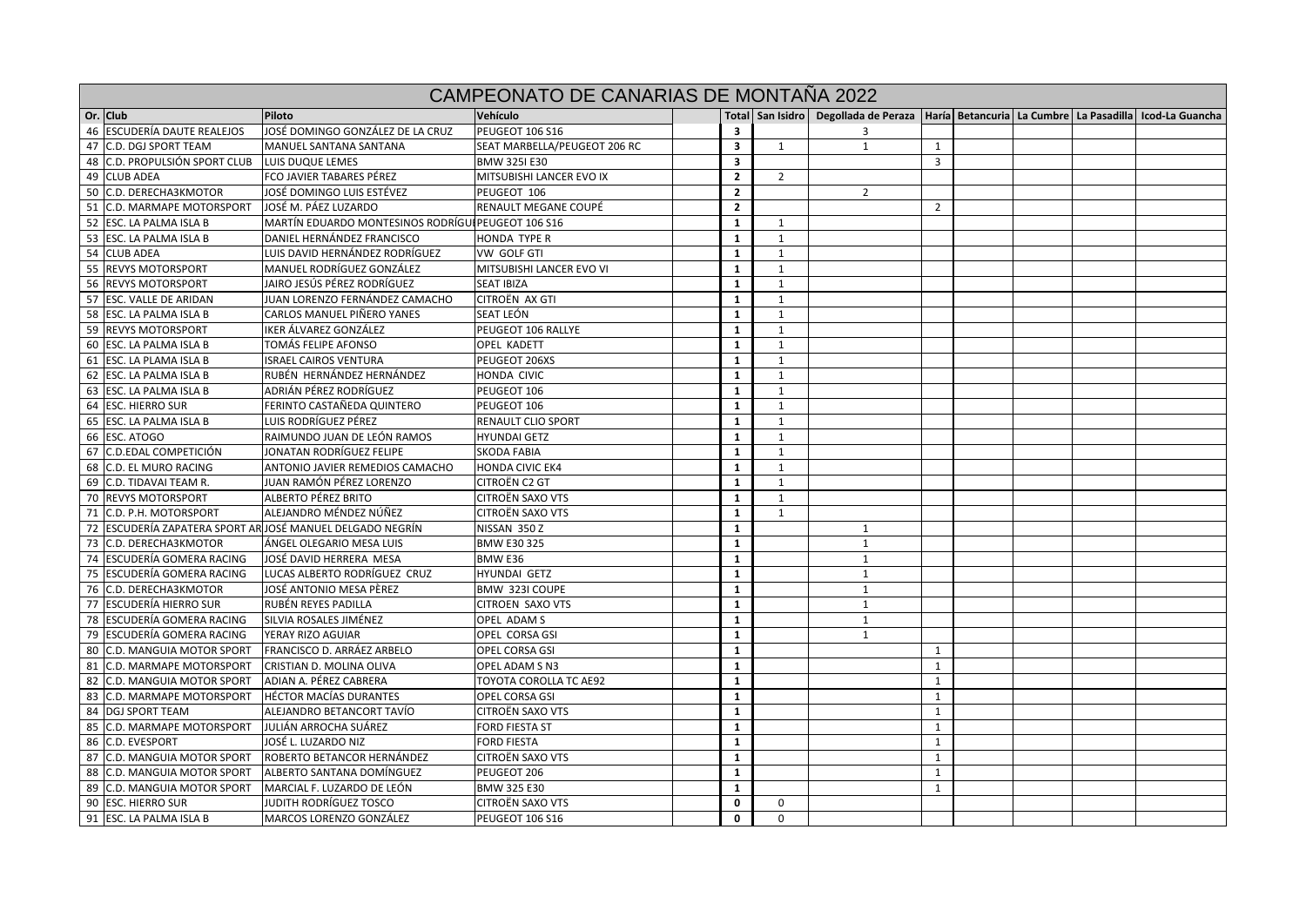|                               |                                                           | CAMPEONATO DE CANARIAS DE MONTAÑA 2022 |                         |              |                                                                                                            |                |  |  |
|-------------------------------|-----------------------------------------------------------|----------------------------------------|-------------------------|--------------|------------------------------------------------------------------------------------------------------------|----------------|--|--|
| Or. Club                      | Piloto                                                    | Vehículo                               |                         |              | Total   San Isidro   Degollada de Peraza   Haría   Betancuria   La Cumbre   La Pasadilla   Icod-La Guancha |                |  |  |
| 46 ESCUDERÍA DAUTE REALEJOS   | JOSÉ DOMINGO GONZÁLEZ DE LA CRUZ                          | PEUGEOT 106 S16                        | 3                       |              | 3                                                                                                          |                |  |  |
| 47 C.D. DGJ SPORT TEAM        | MANUEL SANTANA SANTANA                                    | SEAT MARBELLA/PEUGEOT 206 RC           | $\overline{\mathbf{3}}$ | 1            | $\mathbf{1}$                                                                                               | 1              |  |  |
| 48 C.D. PROPULSIÓN SPORT CLUB | LUIS DUQUE LEMES                                          | <b>BMW 325I E30</b>                    | $\overline{\mathbf{3}}$ |              |                                                                                                            | $\overline{3}$ |  |  |
| 49 CLUB ADEA                  | FCO JAVIER TABARES PÉREZ                                  | MITSUBISHI LANCER EVO IX               | $\overline{2}$          | 2            |                                                                                                            |                |  |  |
| 50 C.D. DERECHA3KMOTOR        | JOSÉ DOMINGO LUIS ESTÉVEZ                                 | PEUGEOT 106                            | $\overline{2}$          |              | $\overline{2}$                                                                                             |                |  |  |
| 51 C.D. MARMAPE MOTORSPORT    | JOSÉ M. PÁEZ LUZARDO                                      | RENAULT MEGANE COUPÉ                   | $\overline{2}$          |              |                                                                                                            | 2              |  |  |
| 52 ESC. LA PALMA ISLA B       | MARTÍN EDUARDO MONTESINOS RODRÍGUI PEUGEOT 106 S16        |                                        | $\mathbf{1}$            | 1            |                                                                                                            |                |  |  |
| 53 ESC. LA PALMA ISLA B       | DANIEL HERNÁNDEZ FRANCISCO                                | <b>HONDA TYPE R</b>                    | $\mathbf{1}$            | $\mathbf{1}$ |                                                                                                            |                |  |  |
| 54 CLUB ADEA                  | LUIS DAVID HERNÁNDEZ RODRÍGUEZ                            | VW GOLF GTI                            | $\mathbf{1}$            | $\mathbf{1}$ |                                                                                                            |                |  |  |
| 55 REVYS MOTORSPORT           | MANUEL RODRÍGUEZ GONZÁLEZ                                 | MITSUBISHI LANCER EVO VI               | $\mathbf{1}$            | $\mathbf{1}$ |                                                                                                            |                |  |  |
| 56 REVYS MOTORSPORT           | JAIRO JESÚS PÉREZ RODRÍGUEZ                               | <b>SEAT IBIZA</b>                      | $\mathbf{1}$            | $\mathbf{1}$ |                                                                                                            |                |  |  |
| 57 ESC. VALLE DE ARIDAN       | JUAN LORENZO FERNÁNDEZ CAMACHO                            | CITROËN AX GTI                         | $\mathbf{1}$            | 1            |                                                                                                            |                |  |  |
| 58 ESC. LA PALMA ISLA B       | CARLOS MANUEL PIÑERO YANES                                | SEAT LEÓN                              | $\mathbf{1}$            | $\mathbf{1}$ |                                                                                                            |                |  |  |
| 59 REVYS MOTORSPORT           | IKER ÁLVAREZ GONZÁLEZ                                     | PEUGEOT 106 RALLYE                     | $\mathbf{1}$            | 1            |                                                                                                            |                |  |  |
| 60 ESC. LA PALMA ISLA B       | TOMÁS FELIPE AFONSO                                       | OPEL KADETT                            | $\mathbf{1}$            | 1            |                                                                                                            |                |  |  |
| 61 ESC. LA PLAMA ISLA B       | <b>ISRAEL CAIROS VENTURA</b>                              | PEUGEOT 206XS                          | $\mathbf{1}$            | $\mathbf{1}$ |                                                                                                            |                |  |  |
| 62 ESC. LA PALMA ISLA B       | RUBÉN HERNÁNDEZ HERNÁNDEZ                                 | HONDA CIVIC                            | $\mathbf{1}$            | 1            |                                                                                                            |                |  |  |
| 63 ESC. LA PALMA ISLA B       | ADRIÁN PÉREZ RODRÍGUEZ                                    | PEUGEOT 106                            | $\mathbf{1}$            | 1            |                                                                                                            |                |  |  |
| 64 ESC. HIERRO SUR            | FERINTO CASTAÑEDA QUINTERO                                | PEUGEOT 106                            | 1                       | 1            |                                                                                                            |                |  |  |
| 65 ESC. LA PALMA ISLA B       | LUIS RODRÍGUEZ PÉREZ                                      | <b>RENAULT CLIO SPORT</b>              | $\mathbf{1}$            | $\mathbf{1}$ |                                                                                                            |                |  |  |
| 66 ESC. ATOGO                 | RAIMUNDO JUAN DE LEÓN RAMOS                               | <b>HYUNDAI GETZ</b>                    | $\mathbf{1}$            | 1            |                                                                                                            |                |  |  |
| 67 C.D.EDAL COMPETICIÓN       | JONATAN RODRÍGUEZ FELIPE                                  | <b>SKODA FABIA</b>                     | $\mathbf{1}$            | $\mathbf{1}$ |                                                                                                            |                |  |  |
| 68 C.D. EL MURO RACING        | ANTONIO JAVIER REMEDIOS CAMACHO                           | <b>HONDA CIVIC EK4</b>                 | $\mathbf{1}$            | $\mathbf{1}$ |                                                                                                            |                |  |  |
| 69 C.D. TIDAVAI TEAM R.       | JUAN RAMÓN PÉREZ LORENZO                                  | CITROËN C2 GT                          | $\mathbf{1}$            | $\mathbf{1}$ |                                                                                                            |                |  |  |
| 70 REVYS MOTORSPORT           | ALBERTO PÉREZ BRITO                                       | CITROËN SAXO VTS                       | $\mathbf{1}$            | 1            |                                                                                                            |                |  |  |
| 71 C.D. P.H. MOTORSPORT       | ALEJANDRO MÉNDEZ NÚÑEZ                                    | <b>CITROËN SAXO VTS</b>                | $\mathbf{1}$            | $\mathbf{1}$ |                                                                                                            |                |  |  |
|                               | 72 ESCUDERÍA ZAPATERA SPORT AR JOSÉ MANUEL DELGADO NEGRÍN | NISSAN 350 Z                           | $\mathbf{1}$            |              | 1                                                                                                          |                |  |  |
| 73 C.D. DERECHA3KMOTOR        | ÁNGEL OLEGARIO MESA LUIS                                  | BMW E30 325                            | $\mathbf{1}$            |              | $\mathbf{1}$                                                                                               |                |  |  |
| 74 ESCUDERÍA GOMERA RACING    | JOSÉ DAVID HERRERA MESA                                   | BMW E36                                | $\mathbf{1}$            |              | $\mathbf{1}$                                                                                               |                |  |  |
| 75 ESCUDERÍA GOMERA RACING    | LUCAS ALBERTO RODRÍGUEZ CRUZ                              | HYUNDAI GETZ                           | $\mathbf{1}$            |              | $\mathbf{1}$                                                                                               |                |  |  |
| 76 C.D. DERECHA3KMOTOR        | JOSÉ ANTONIO MESA PÈREZ                                   | BMW 323I COUPE                         | $\mathbf{1}$            |              | 1                                                                                                          |                |  |  |
| 77 ESCUDERÍA HIERRO SUR       | RUBÉN REYES PADILLA                                       | <b>CITROEN SAXO VTS</b>                | $\mathbf{1}$            |              | 1                                                                                                          |                |  |  |
| 78 ESCUDERÍA GOMERA RACING    | SILVIA ROSALES JIMÉNEZ                                    | OPEL ADAM S                            | $\mathbf{1}$            |              | 1                                                                                                          |                |  |  |
| 79 ESCUDERÍA GOMERA RACING    | YERAY RIZO AGUIAR                                         | OPEL CORSA GSI                         | $\mathbf{1}$            |              | $\mathbf{1}$                                                                                               |                |  |  |
| 80 C.D. MANGUIA MOTOR SPORT   | FRANCISCO D. ARRÁEZ ARBELO                                | OPEL CORSA GSI                         | $\mathbf{1}$            |              |                                                                                                            | $\mathbf{1}$   |  |  |
| 81 C.D. MARMAPE MOTORSPORT    | CRISTIAN D. MOLINA OLIVA                                  | OPEL ADAM S N3                         | $\mathbf{1}$            |              |                                                                                                            | $\mathbf{1}$   |  |  |
| 82 C.D. MANGUIA MOTOR SPORT   | ADIAN A. PÉREZ CABRERA                                    | TOYOTA COROLLA TC AE92                 | $\mathbf{1}$            |              |                                                                                                            | $\mathbf{1}$   |  |  |
| 83 C.D. MARMAPE MOTORSPORT    | <b>HÉCTOR MACÍAS DURANTES</b>                             | OPEL CORSA GSI                         | $\mathbf{1}$            |              |                                                                                                            | $\mathbf{1}$   |  |  |
| 84 DGJ SPORT TEAM             | ALEJANDRO BETANCORT TAVÍO                                 | CITROËN SAXO VTS                       | $\mathbf{1}$            |              |                                                                                                            | $\mathbf{1}$   |  |  |
| 85 C.D. MARMAPE MOTORSPORT    | JULIÁN ARROCHA SUÁREZ                                     | <b>FORD FIESTA ST</b>                  | $\mathbf{1}$            |              |                                                                                                            | $\mathbf{1}$   |  |  |
| 86 C.D. EVESPORT              | JOSÉ L. LUZARDO NIZ                                       | <b>FORD FIESTA</b>                     | $\mathbf{1}$            |              |                                                                                                            | $\mathbf{1}$   |  |  |
| 87 C.D. MANGUIA MOTOR SPORT   | ROBERTO BETANCOR HERNÁNDEZ                                | CITROËN SAXO VTS                       | $\mathbf{1}$            |              |                                                                                                            | $\mathbf{1}$   |  |  |
| 88 C.D. MANGUIA MOTOR SPORT   | ALBERTO SANTANA DOMÍNGUEZ                                 | PEUGEOT 206                            | $\mathbf{1}$            |              |                                                                                                            | $\mathbf{1}$   |  |  |
| 89 C.D. MANGUIA MOTOR SPORT   | MARCIAL F. LUZARDO DE LEÓN                                | BMW 325 E30                            | 1                       |              |                                                                                                            | 1              |  |  |
| 90 ESC. HIERRO SUR            | <b>JUDITH RODRÍGUEZ TOSCO</b>                             | <b>CITROËN SAXO VTS</b>                | 0                       | 0            |                                                                                                            |                |  |  |
| 91 ESC. LA PALMA ISLA B       | MARCOS LORENZO GONZÁLEZ                                   | PEUGEOT 106 S16                        | $\Omega$                | $\Omega$     |                                                                                                            |                |  |  |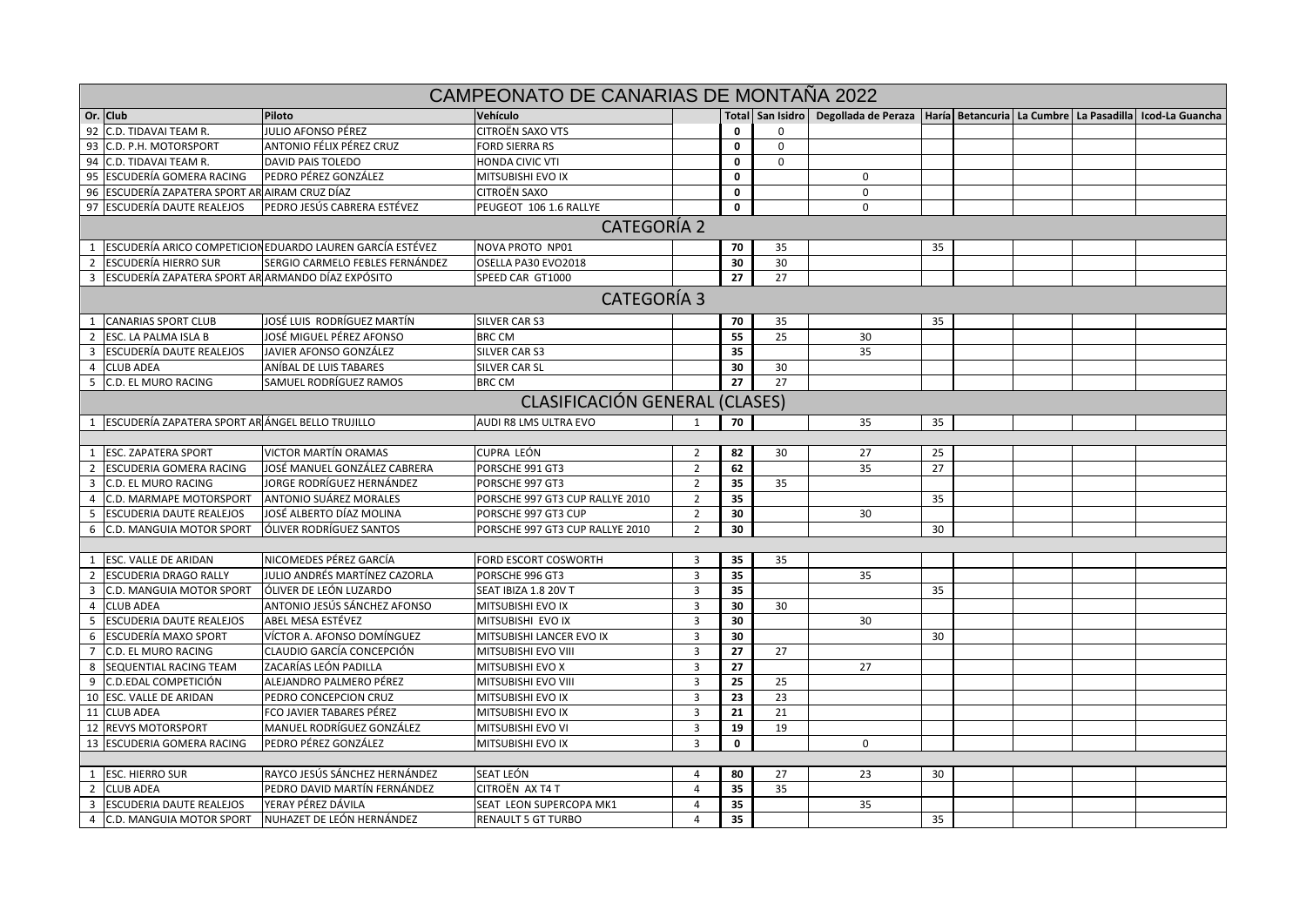|                         | CAMPEONATO DE CANARIAS DE MONTANA 2022             |                                                           |                                 |                         |             |             |                                                                                                            |    |  |  |  |  |
|-------------------------|----------------------------------------------------|-----------------------------------------------------------|---------------------------------|-------------------------|-------------|-------------|------------------------------------------------------------------------------------------------------------|----|--|--|--|--|
|                         | Or. Club                                           | Piloto                                                    | Vehículo                        |                         |             |             | Total   San Isidro   Degollada de Peraza   Haría   Betancuria   La Cumbre   La Pasadilla   Icod-La Guancha |    |  |  |  |  |
|                         | 92 C.D. TIDAVAI TEAM R.                            | JULIO AFONSO PÉREZ                                        | <b>CITROËN SAXO VTS</b>         |                         | 0           | 0           |                                                                                                            |    |  |  |  |  |
|                         | 93 C.D. P.H. MOTORSPORT                            | ANTONIO FÉLIX PÉREZ CRUZ                                  | <b>FORD SIERRA RS</b>           |                         | $\mathbf 0$ | 0           |                                                                                                            |    |  |  |  |  |
|                         | 94 C.D. TIDAVAI TEAM R.                            | <b>DAVID PAIS TOLEDO</b>                                  | <b>HONDA CIVIC VTI</b>          |                         | 0           | $\mathbf 0$ |                                                                                                            |    |  |  |  |  |
|                         | 95 ESCUDERÍA GOMERA RACING                         | PEDRO PÉREZ GONZÁLEZ                                      | MITSUBISHI EVO IX               |                         | 0           |             | $\mathbf 0$                                                                                                |    |  |  |  |  |
|                         | 96 ESCUDERÍA ZAPATERA SPORT AR AIRAM CRUZ DÍAZ     |                                                           | <b>CITROËN SAXO</b>             |                         | 0           |             | $\Omega$                                                                                                   |    |  |  |  |  |
|                         | 97 ESCUDERÍA DAUTE REALEJOS                        | PEDRO JESÚS CABRERA ESTÉVEZ                               | PEUGEOT 106 1.6 RALLYE          |                         | $\mathbf 0$ |             | $\Omega$                                                                                                   |    |  |  |  |  |
|                         | <b>CATEGORÍA 2</b>                                 |                                                           |                                 |                         |             |             |                                                                                                            |    |  |  |  |  |
| 1                       |                                                    | ESCUDERÍA ARICO COMPETICION EDUARDO LAUREN GARCÍA ESTÉVEZ | NOVA PROTO NP01                 |                         | 70          | 35          |                                                                                                            | 35 |  |  |  |  |
| $\overline{2}$          | <b>ESCUDERÍA HIERRO SUR</b>                        | SERGIO CARMELO FEBLES FERNÁNDEZ                           | OSELLA PA30 EVO2018             |                         | 30          | 30          |                                                                                                            |    |  |  |  |  |
| $\overline{\mathbf{3}}$ | ESCUDERÍA ZAPATERA SPORT AR ARMANDO DÍAZ EXPÓSITO  |                                                           | SPEED CAR GT1000                |                         | 27          | 27          |                                                                                                            |    |  |  |  |  |
|                         | <b>CATEGORÍA 3</b>                                 |                                                           |                                 |                         |             |             |                                                                                                            |    |  |  |  |  |
|                         | 1 CANARIAS SPORT CLUB                              | JOSÉ LUIS RODRÍGUEZ MARTÍN                                | SILVER CAR S3                   |                         | 70          | 35          |                                                                                                            | 35 |  |  |  |  |
| $\overline{2}$          | <b>ESC. LA PALMA ISLA B</b>                        | JOSÉ MIGUEL PÉREZ AFONSO                                  | <b>BRC CM</b>                   |                         | 55          | 25          | 30                                                                                                         |    |  |  |  |  |
| $\overline{\mathbf{3}}$ | <b>ESCUDERÍA DAUTE REALEJOS</b>                    | JAVIER AFONSO GONZÁLEZ                                    | SILVER CAR S3                   |                         | 35          |             | 35                                                                                                         |    |  |  |  |  |
|                         | 4 CLUB ADEA                                        | ANÍBAL DE LUIS TABARES                                    | <b>SILVER CAR SL</b>            |                         | 30          | 30          |                                                                                                            |    |  |  |  |  |
|                         | 5 C.D. EL MURO RACING                              | SAMUEL RODRÍGUEZ RAMOS                                    | <b>BRC CM</b>                   |                         | 27          | 27          |                                                                                                            |    |  |  |  |  |
|                         | CLASIFICACIÓN GENERAL (CLASES)                     |                                                           |                                 |                         |             |             |                                                                                                            |    |  |  |  |  |
|                         | 1 ESCUDERÍA ZAPATERA SPORT AR ÁNGEL BELLO TRUJILLO |                                                           | AUDI R8 LMS ULTRA EVO           | 1                       | 70          |             | 35                                                                                                         | 35 |  |  |  |  |
|                         |                                                    |                                                           |                                 |                         |             |             |                                                                                                            |    |  |  |  |  |
| 1                       | <b>ESC. ZAPATERA SPORT</b>                         | VICTOR MARTÍN ORAMAS                                      | CUPRA LEÓN                      | 2                       | 82          | 30          | 27                                                                                                         | 25 |  |  |  |  |
| $\overline{2}$          | <b>ESCUDERIA GOMERA RACING</b>                     | JOSÉ MANUEL GONZÁLEZ CABRERA                              | PORSCHE 991 GT3                 | 2                       | 62          |             | 35                                                                                                         | 27 |  |  |  |  |
| $\overline{\mathbf{3}}$ | <b>C.D. EL MURO RACING</b>                         | JORGE RODRÍGUEZ HERNÁNDEZ                                 | PORSCHE 997 GT3                 | $\overline{2}$          | 35          | 35          |                                                                                                            |    |  |  |  |  |
| $\overline{4}$          | <b>C.D. MARMAPE MOTORSPORT</b>                     | <b>ANTONIO SUÁREZ MORALES</b>                             | PORSCHE 997 GT3 CUP RALLYE 2010 | $\overline{2}$          | 35          |             |                                                                                                            | 35 |  |  |  |  |
| 5                       | <b>ESCUDERIA DAUTE REALEJOS</b>                    | JOSÉ ALBERTO DÍAZ MOLINA                                  | PORSCHE 997 GT3 CUP             | $\overline{2}$          | 30          |             | 30                                                                                                         |    |  |  |  |  |
| 6                       | C.D. MANGUIA MOTOR SPORT                           | <b>OLIVER RODRÍGUEZ SANTOS</b>                            | PORSCHE 997 GT3 CUP RALLYE 2010 | $\overline{2}$          | 30          |             |                                                                                                            | 30 |  |  |  |  |
|                         |                                                    |                                                           |                                 |                         |             |             |                                                                                                            |    |  |  |  |  |
| 1                       | <b>ESC. VALLE DE ARIDAN</b>                        | NICOMEDES PÉREZ GARCÍA                                    | <b>FORD ESCORT COSWORTH</b>     | $\overline{3}$          | 35          | 35          |                                                                                                            |    |  |  |  |  |
| $\overline{2}$          | <b>ESCUDERIA DRAGO RALLY</b>                       | JULIO ANDRÉS MARTÍNEZ CAZORLA                             | PORSCHE 996 GT3                 | $\overline{\mathbf{3}}$ | 35          |             | 35                                                                                                         |    |  |  |  |  |
| 3                       | <b>C.D. MANGUIA MOTOR SPORT</b>                    | ÓLIVER DE LEÓN LUZARDO                                    | SEAT IBIZA 1.8 20V T            | 3                       | 35          |             |                                                                                                            | 35 |  |  |  |  |
| $\overline{4}$          | <b>CLUB ADEA</b>                                   | ANTONIO JESÚS SÁNCHEZ AFONSO                              | MITSUBISHI EVO IX               | 3                       | 30          | 30          |                                                                                                            |    |  |  |  |  |
| 5                       | <b>ESCUDERIA DAUTE REALEJOS</b>                    | ABEL MESA ESTÉVEZ                                         | MITSUBISHI EVO IX               | 3                       | 30          |             | 30                                                                                                         |    |  |  |  |  |
| 6                       | <b>ESCUDERÍA MAXO SPORT</b>                        | VÍCTOR A. AFONSO DOMÍNGUEZ                                | MITSUBISHI LANCER EVO IX        | $\overline{3}$          | 30          |             |                                                                                                            | 30 |  |  |  |  |
| $\overline{7}$          | C.D. EL MURO RACING                                | CLAUDIO GARCÍA CONCEPCIÓN                                 | MITSUBISHI EVO VIII             | $\overline{3}$          | 27          | 27          |                                                                                                            |    |  |  |  |  |
| 8                       | SEQUENTIAL RACING TEAM                             | ZACARÍAS LEÓN PADILLA                                     | MITSUBISHI EVO X                | $\overline{3}$          | 27          |             | 27                                                                                                         |    |  |  |  |  |
| 9                       | C.D.EDAL COMPETICIÓN                               | ALEJANDRO PALMERO PÉREZ                                   | MITSUBISHI EVO VIII             | $\overline{3}$          | 25          | 25          |                                                                                                            |    |  |  |  |  |
|                         | 10 ESC. VALLE DE ARIDAN                            | PEDRO CONCEPCION CRUZ                                     | MITSUBISHI EVO IX               | $\overline{3}$          | 23          | 23          |                                                                                                            |    |  |  |  |  |
|                         | 11 CLUB ADEA                                       | FCO JAVIER TABARES PÉREZ                                  | MITSUBISHI EVO IX               | 3                       | 21          | 21          |                                                                                                            |    |  |  |  |  |
|                         | 12 REVYS MOTORSPORT                                | MANUEL RODRÍGUEZ GONZÁLEZ                                 | MITSUBISHI EVO VI               | $\overline{3}$          | 19          | 19          |                                                                                                            |    |  |  |  |  |
|                         | 13 ESCUDERIA GOMERA RACING                         | PEDRO PÉREZ GONZÁLEZ                                      | <b>MITSUBISHI EVO IX</b>        | $\overline{3}$          | 0           |             | 0                                                                                                          |    |  |  |  |  |
|                         |                                                    |                                                           |                                 |                         |             |             |                                                                                                            |    |  |  |  |  |
|                         | 1 ESC. HIERRO SUR                                  | RAYCO JESÚS SÁNCHEZ HERNÁNDEZ                             | SEAT LEÓN                       | 4                       | 80          | 27          | 23                                                                                                         | 30 |  |  |  |  |
| 2                       | <b>CLUB ADEA</b>                                   | PEDRO DAVID MARTÍN FERNÁNDEZ                              | CITROËN AX T4 T                 | $\overline{4}$          | 35          | 35          |                                                                                                            |    |  |  |  |  |
| $\overline{\mathbf{3}}$ | <b>ESCUDERIA DAUTE REALEJOS</b>                    | YERAY PÉREZ DÁVILA                                        | SEAT LEON SUPERCOPA MK1         | 4                       | 35          |             | 35                                                                                                         |    |  |  |  |  |
| 4                       | C.D. MANGUIA MOTOR SPORT                           | NUHAZET DE LEÓN HERNÁNDEZ                                 | <b>RENAULT 5 GT TURBO</b>       | $\overline{a}$          | 35          |             |                                                                                                            | 35 |  |  |  |  |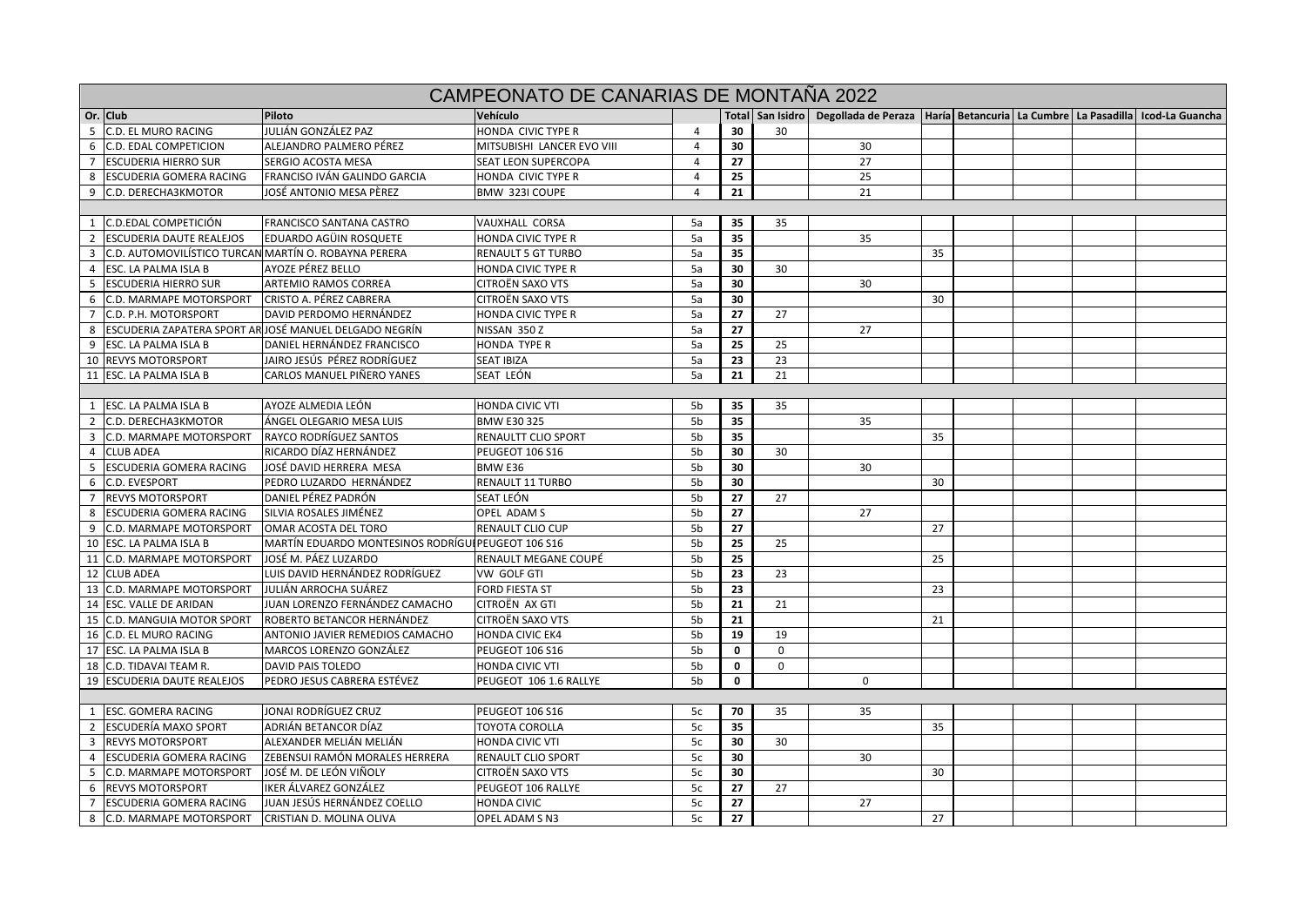| CAMPEONATO DE CANARIAS DE MONTANA 2022 |                                                      |                                                       |                            |                |             |             |                                      |    |  |  |                                                               |
|----------------------------------------|------------------------------------------------------|-------------------------------------------------------|----------------------------|----------------|-------------|-------------|--------------------------------------|----|--|--|---------------------------------------------------------------|
|                                        | Or. Club                                             | Piloto                                                | Vehículo                   |                |             |             | Total San Isidro Degollada de Peraza |    |  |  | Haríal Betancurial La Cumbre   La Pasadilla   Icod-La Guancha |
| -5                                     | C.D. EL MURO RACING                                  | JULIÁN GONZÁLEZ PAZ                                   | HONDA CIVIC TYPE R         | $\overline{4}$ | 30          | 30          |                                      |    |  |  |                                                               |
| 6                                      | <b>C.D. EDAL COMPETICION</b>                         | ALEJANDRO PALMERO PÉREZ                               | MITSUBISHI LANCER EVO VIII | $\overline{4}$ | 30          |             | 30                                   |    |  |  |                                                               |
| $\overline{7}$                         | <b>ESCUDERIA HIERRO SUR</b>                          | SERGIO ACOSTA MESA                                    | SEAT LEON SUPERCOPA        | 4              | 27          |             | 27                                   |    |  |  |                                                               |
| 8                                      | <b>ESCUDERIA GOMERA RACING</b>                       | FRANCISO IVÁN GALINDO GARCIA                          | HONDA CIVIC TYPE R         | $\overline{4}$ | 25          |             | 25                                   |    |  |  |                                                               |
| 9                                      | C.D. DERECHA3KMOTOR                                  | JOSÉ ANTONIO MESA PÈREZ                               | BMW 323I COUPE             | $\overline{4}$ | 21          |             | 21                                   |    |  |  |                                                               |
|                                        |                                                      |                                                       |                            |                |             |             |                                      |    |  |  |                                                               |
| 1                                      | C.D.EDAL COMPETICIÓN                                 | FRANCISCO SANTANA CASTRO                              | <b>VAUXHALL CORSA</b>      | 5a             | 35          | 35          |                                      |    |  |  |                                                               |
|                                        | <b>ESCUDERIA DAUTE REALEJOS</b>                      | EDUARDO AGÜIN ROSQUETE                                | <b>HONDA CIVIC TYPE R</b>  | 5a             | 35          |             | 35                                   |    |  |  |                                                               |
| 3                                      | C.D. AUTOMOVILÍSTICO TURCAN MARTÍN O. ROBAYNA PERERA |                                                       | <b>RENAULT 5 GT TURBO</b>  | 5a             | 35          |             |                                      | 35 |  |  |                                                               |
| $\overline{4}$                         | ESC. LA PALMA ISLA B                                 | AYOZE PÉREZ BELLO                                     | HONDA CIVIC TYPE R         | 5a             | 30          | 30          |                                      |    |  |  |                                                               |
| - 5                                    | <b>ESCUDERIA HIERRO SUR</b>                          | ARTEMIO RAMOS CORREA                                  | CITROËN SAXO VTS           | 5a             | 30          |             | 30                                   |    |  |  |                                                               |
| -6                                     | <b>C.D. MARMAPE MOTORSPORT</b>                       | CRISTO A. PÉREZ CABRERA                               | <b>CITROËN SAXO VTS</b>    | 5a             | 30          |             |                                      | 30 |  |  |                                                               |
| $\overline{7}$                         | C.D. P.H. MOTORSPORT                                 | DAVID PERDOMO HERNÁNDEZ                               | HONDA CIVIC TYPE R         | 5a             | 27          | 27          |                                      |    |  |  |                                                               |
| 8                                      |                                                      | ESCUDERIA ZAPATERA SPORT ARJOSÉ MANUEL DELGADO NEGRÍN | NISSAN 350 Z               | 5a             | 27          |             | 27                                   |    |  |  |                                                               |
| 9                                      | ESC. LA PALMA ISLA B                                 | DANIEL HERNÁNDEZ FRANCISCO                            | <b>HONDA TYPE R</b>        | 5a             | 25          | 25          |                                      |    |  |  |                                                               |
|                                        | 10 REVYS MOTORSPORT                                  | JAIRO JESÚS PÉREZ RODRÍGUEZ                           | <b>SEAT IBIZA</b>          | 5a             | 23          | 23          |                                      |    |  |  |                                                               |
| 11                                     | <b>ESC. LA PALMA ISLA B</b>                          | CARLOS MANUEL PIÑERO YANES                            | SEAT LEÓN                  | 5a             | 21          | 21          |                                      |    |  |  |                                                               |
|                                        |                                                      |                                                       |                            |                |             |             |                                      |    |  |  |                                                               |
|                                        | 1 ESC. LA PALMA ISLA B                               | AYOZE ALMEDIA LEÓN                                    | <b>HONDA CIVIC VTI</b>     | 5b             | 35          | 35          |                                      |    |  |  |                                                               |
| $\overline{2}$                         | C.D. DERECHA3KMOTOR                                  | ÁNGEL OLEGARIO MESA LUIS                              | <b>BMW E30 325</b>         | 5 <sub>b</sub> | 35          |             | 35                                   |    |  |  |                                                               |
| 3                                      | <b>C.D. MARMAPE MOTORSPORT</b>                       | RAYCO RODRÍGUEZ SANTOS                                | RENAULTT CLIO SPORT        | 5 <sub>b</sub> | 35          |             |                                      | 35 |  |  |                                                               |
| $\overline{4}$                         | <b>CLUB ADEA</b>                                     | RICARDO DÍAZ HERNÁNDEZ                                | PEUGEOT 106 S16            | 5 <sub>b</sub> | 30          | 30          |                                      |    |  |  |                                                               |
| -5                                     | <b>ESCUDERIA GOMERA RACING</b>                       | JOSÉ DAVID HERRERA MESA                               | BMW E36                    | 5 <sub>b</sub> | 30          |             | 30                                   |    |  |  |                                                               |
| -6                                     | C.D. EVESPORT                                        | PEDRO LUZARDO HERNÁNDEZ                               | <b>RENAULT 11 TURBO</b>    | 5 <sub>b</sub> | 30          |             |                                      | 30 |  |  |                                                               |
| $7\overline{ }$                        | <b>REVYS MOTORSPORT</b>                              | DANIEL PÉREZ PADRÓN                                   | SEAT LEÓN                  | 5 <sub>b</sub> | 27          | 27          |                                      |    |  |  |                                                               |
| 8                                      | ESCUDERIA GOMERA RACING                              | SILVIA ROSALES JIMÉNEZ                                | <b>OPEL ADAMS</b>          | 5b             | 27          |             | 27                                   |    |  |  |                                                               |
| - 9                                    | <b>C.D. MARMAPE MOTORSPORT</b>                       | OMAR ACOSTA DEL TORO                                  | <b>RENAULT CLIO CUP</b>    | 5b             | 27          |             |                                      | 27 |  |  |                                                               |
|                                        | 10 ESC. LA PALMA ISLA B                              | MARTÍN EDUARDO MONTESINOS RODRÍGUI PEUGEOT 106 S16    |                            | 5b             | 25          | 25          |                                      |    |  |  |                                                               |
| 11                                     | <b>C.D. MARMAPE MOTORSPORT</b>                       | JOSÉ M. PÁEZ LUZARDO                                  | RENAULT MEGANE COUPÉ       | 5 <sub>b</sub> | 25          |             |                                      | 25 |  |  |                                                               |
| 12                                     | <b>CLUB ADEA</b>                                     | LUIS DAVID HERNÁNDEZ RODRÍGUEZ                        | VW GOLF GTI                | 5 <sub>b</sub> | 23          | 23          |                                      |    |  |  |                                                               |
| 13                                     | <b>C.D. MARMAPE MOTORSPORT</b>                       | JULIÁN ARROCHA SUÁREZ                                 | <b>FORD FIESTA ST</b>      | 5b             | 23          |             |                                      | 23 |  |  |                                                               |
| 14                                     | <b>ESC. VALLE DE ARIDAN</b>                          | JUAN LORENZO FERNÁNDEZ CAMACHO                        | CITROËN AX GTI             | 5b             | 21          | 21          |                                      |    |  |  |                                                               |
|                                        | 15 C.D. MANGUIA MOTOR SPORT                          | ROBERTO BETANCOR HERNÁNDEZ                            | <b>CITROËN SAXO VTS</b>    | 5b             | 21          |             |                                      | 21 |  |  |                                                               |
|                                        | 16 C.D. EL MURO RACING                               | ANTONIO JAVIER REMEDIOS CAMACHO                       | <b>HONDA CIVIC EK4</b>     | 5 <sub>b</sub> | 19          | 19          |                                      |    |  |  |                                                               |
|                                        | 17 ESC. LA PALMA ISLA B                              | MARCOS LORENZO GONZÁLEZ                               | PEUGEOT 106 S16            | 5b             | 0           | $\mathbf 0$ |                                      |    |  |  |                                                               |
| 18                                     | C.D. TIDAVAI TEAM R.                                 | DAVID PAIS TOLEDO                                     | <b>HONDA CIVIC VTI</b>     | 5 <sub>b</sub> | 0           | $\mathbf 0$ |                                      |    |  |  |                                                               |
| 19                                     | <b>ESCUDERIA DAUTE REALEJOS</b>                      | PEDRO JESUS CABRERA ESTÉVEZ                           | PEUGEOT 106 1.6 RALLYE     | 5 <sub>b</sub> | $\mathbf 0$ |             | $\mathbf 0$                          |    |  |  |                                                               |
|                                        |                                                      |                                                       |                            |                |             |             |                                      |    |  |  |                                                               |
| 1                                      | <b>ESC. GOMERA RACING</b>                            | JONAI RODRÍGUEZ CRUZ                                  | PEUGEOT 106 S16            | 5c             | 70          | 35          | 35                                   |    |  |  |                                                               |
| 2                                      | <b>ESCUDERÍA MAXO SPORT</b>                          | ADRIÁN BETANCOR DÍAZ                                  | TOYOTA COROLLA             | 5c             | 35          |             |                                      | 35 |  |  |                                                               |
| $\overline{\mathbf{3}}$                | <b>REVYS MOTORSPORT</b>                              | ALEXANDER MELIÁN MELIÁN                               | HONDA CIVIC VTI            | 5c             | 30          | 30          |                                      |    |  |  |                                                               |
| $\overline{4}$                         | ESCUDERIA GOMERA RACING                              | ZEBENSUI RAMÓN MORALES HERRERA                        | <b>RENAULT CLIO SPORT</b>  | 5c             | 30          |             | 30                                   |    |  |  |                                                               |
| - 5                                    | <b>C.D. MARMAPE MOTORSPORT</b>                       | JOSÉ M. DE LEÓN VIÑOLY                                | <b>CITROËN SAXO VTS</b>    | 5c             | 30          |             |                                      | 30 |  |  |                                                               |
| 6                                      | <b>REVYS MOTORSPORT</b>                              | IKER ÁLVAREZ GONZÁLEZ                                 | PEUGEOT 106 RALLYE         | 5c             | 27          | 27          |                                      |    |  |  |                                                               |
| $7^{\circ}$                            | <b>ESCUDERIA GOMERA RACING</b>                       | JUAN JESÚS HERNÁNDEZ COELLO                           | <b>HONDA CIVIC</b>         | 5c             | 27          |             | 27                                   |    |  |  |                                                               |
| 8                                      | <b>C.D. MARMAPE MOTORSPORT</b>                       | CRISTIAN D. MOLINA OLIVA                              | OPEL ADAM S N3             | 5c             | 27          |             |                                      | 27 |  |  |                                                               |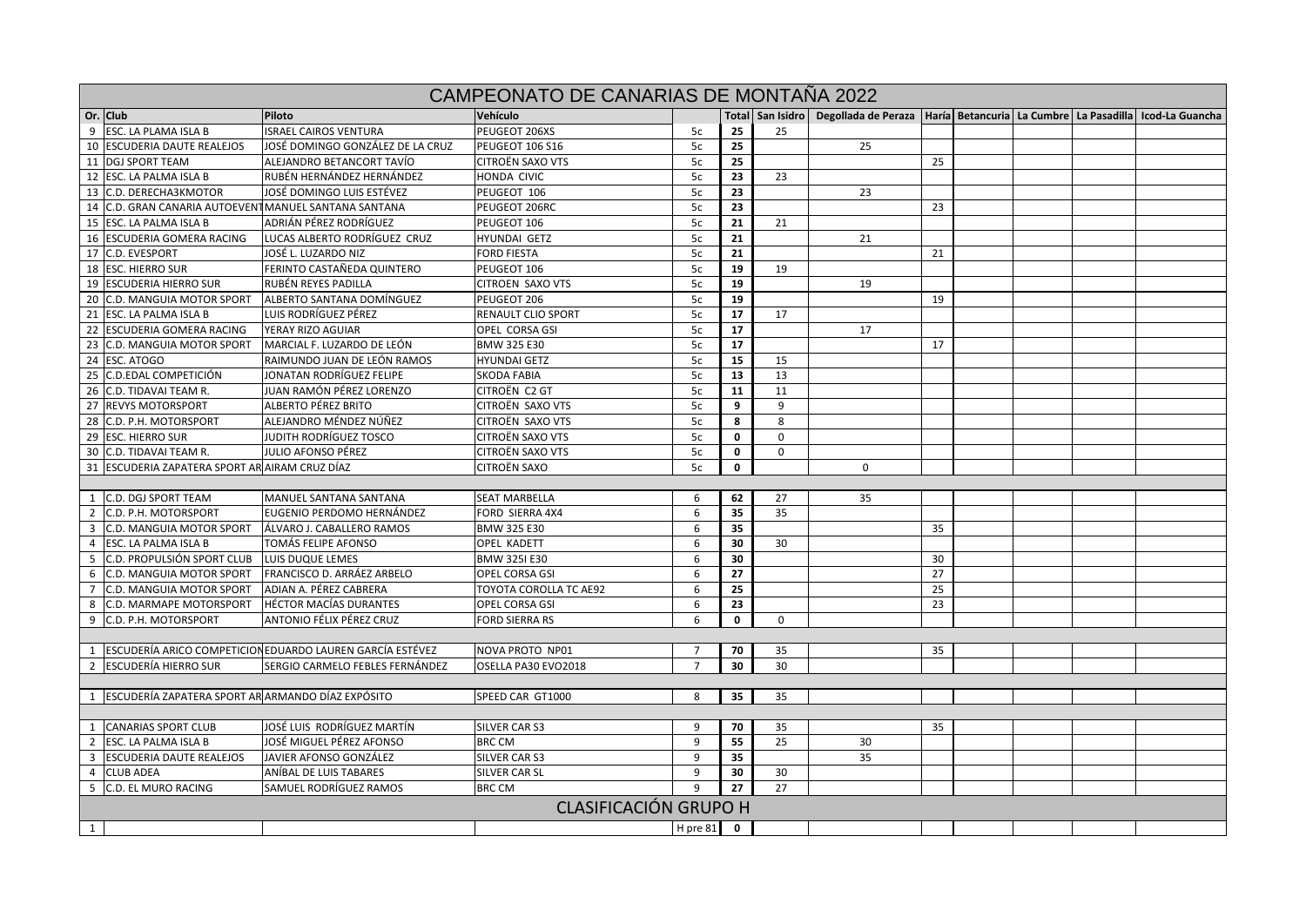|                | CAMPEONATO DE CANARIAS DE MONTAÑA 2022                |                                                             |                              |                |    |             |                                                                                                            |    |  |  |  |  |
|----------------|-------------------------------------------------------|-------------------------------------------------------------|------------------------------|----------------|----|-------------|------------------------------------------------------------------------------------------------------------|----|--|--|--|--|
|                | Or. Club                                              | Piloto                                                      | Vehículo                     |                |    |             | Total   San Isidro   Degollada de Peraza   Haría   Betancuria   La Cumbre   La Pasadilla   Icod-La Guancha |    |  |  |  |  |
|                | 9 ESC. LA PLAMA ISLA B                                | <b>ISRAEL CAIROS VENTURA</b>                                | PEUGEOT 206XS                | 5c             | 25 | 25          |                                                                                                            |    |  |  |  |  |
|                | 10 ESCUDERIA DAUTE REALEJOS                           | JOSÉ DOMINGO GONZÁLEZ DE LA CRUZ                            | <b>PEUGEOT 106 S16</b>       | 5c             | 25 |             | 25                                                                                                         |    |  |  |  |  |
|                | 11 DGJ SPORT TEAM                                     | ALEJANDRO BETANCORT TAVÍO                                   | <b>CITROËN SAXO VTS</b>      | 5c             | 25 |             |                                                                                                            | 25 |  |  |  |  |
|                | 12 ESC. LA PALMA ISLA B                               | RUBÉN HERNÁNDEZ HERNÁNDEZ                                   | HONDA CIVIC                  | 5c             | 23 | 23          |                                                                                                            |    |  |  |  |  |
|                | 13 C.D. DERECHA3KMOTOR                                | JOSÉ DOMINGO LUIS ESTÉVEZ                                   | PEUGEOT 106                  | 5c             | 23 |             | 23                                                                                                         |    |  |  |  |  |
|                | 14 C.D. GRAN CANARIA AUTOEVENT MANUEL SANTANA SANTANA |                                                             | PEUGEOT 206RC                | 5c             | 23 |             |                                                                                                            | 23 |  |  |  |  |
|                | 15 ESC. LA PALMA ISLA B                               | ADRIÁN PÉREZ RODRÍGUEZ                                      | PEUGEOT 106                  | 5c             | 21 | 21          |                                                                                                            |    |  |  |  |  |
|                | 16 ESCUDERIA GOMERA RACING                            | LUCAS ALBERTO RODRÍGUEZ CRUZ                                | HYUNDAI GETZ                 | 5c             | 21 |             | 21                                                                                                         |    |  |  |  |  |
|                | 17 C.D. EVESPORT                                      | JOSÉ L. LUZARDO NIZ                                         | <b>FORD FIESTA</b>           | 5c             | 21 |             |                                                                                                            | 21 |  |  |  |  |
|                | 18 ESC. HIERRO SUR                                    | FERINTO CASTAÑEDA QUINTERO                                  | PEUGEOT 106                  | 5c             | 19 | 19          |                                                                                                            |    |  |  |  |  |
|                | 19 ESCUDERIA HIERRO SUR                               | RUBÉN REYES PADILLA                                         | CITROEN SAXO VTS             | 5c             | 19 |             | 19                                                                                                         |    |  |  |  |  |
|                | 20 C.D. MANGUIA MOTOR SPORT                           | ALBERTO SANTANA DOMÍNGUEZ                                   | PEUGEOT 206                  | 5c             | 19 |             |                                                                                                            | 19 |  |  |  |  |
|                | 21 ESC. LA PALMA ISLA B                               | LUIS RODRÍGUEZ PÉREZ                                        | RENAULT CLIO SPORT           | 5c             | 17 | 17          |                                                                                                            |    |  |  |  |  |
|                | 22 ESCUDERIA GOMERA RACING                            | YERAY RIZO AGUIAR                                           | OPEL CORSA GSI               | 5c             | 17 |             | 17                                                                                                         |    |  |  |  |  |
|                | 23 C.D. MANGUIA MOTOR SPORT                           | MARCIAL F. LUZARDO DE LEÓN                                  | BMW 325 E30                  | 5c             | 17 |             |                                                                                                            | 17 |  |  |  |  |
|                | 24 ESC. ATOGO                                         | RAIMUNDO JUAN DE LEÓN RAMOS                                 | <b>HYUNDAI GETZ</b>          | 5c             | 15 | 15          |                                                                                                            |    |  |  |  |  |
|                | 25 C.D.EDAL COMPETICIÓN                               | JONATAN RODRÍGUEZ FELIPE                                    | <b>SKODA FABIA</b>           | 5c             | 13 | 13          |                                                                                                            |    |  |  |  |  |
|                | 26 C.D. TIDAVAI TEAM R.                               | JUAN RAMÓN PÉREZ LORENZO                                    | CITROËN C2 GT                | 5c             | 11 | 11          |                                                                                                            |    |  |  |  |  |
|                | 27 REVYS MOTORSPORT                                   | ALBERTO PÉREZ BRITO                                         | CITROËN SAXO VTS             | 5c             | 9  | 9           |                                                                                                            |    |  |  |  |  |
|                | 28 C.D. P.H. MOTORSPORT                               | ALEJANDRO MÉNDEZ NÚÑEZ                                      | CITROËN SAXO VTS             | 5c             | 8  | 8           |                                                                                                            |    |  |  |  |  |
|                | 29 ESC. HIERRO SUR                                    | JUDITH RODRÍGUEZ TOSCO                                      | CITROËN SAXO VTS             | 5c             | 0  | $\mathbf 0$ |                                                                                                            |    |  |  |  |  |
|                | 30 C.D. TIDAVAI TEAM R.                               | JULIO AFONSO PÉREZ                                          | <b>CITROËN SAXO VTS</b>      | 5c             | 0  | 0           |                                                                                                            |    |  |  |  |  |
|                | 31 ESCUDERIA ZAPATERA SPORT AR AIRAM CRUZ DÍAZ        |                                                             | CITROËN SAXO                 | 5c             | 0  |             | $\mathbf 0$                                                                                                |    |  |  |  |  |
|                |                                                       |                                                             |                              |                |    |             |                                                                                                            |    |  |  |  |  |
|                | 1 C.D. DGJ SPORT TEAM                                 | MANUEL SANTANA SANTANA                                      | <b>SEAT MARBELLA</b>         | 6              | 62 | 27          | 35                                                                                                         |    |  |  |  |  |
| $\overline{2}$ | C.D. P.H. MOTORSPORT                                  | EUGENIO PERDOMO HERNÁNDEZ                                   | FORD SIERRA 4X4              | 6              | 35 | 35          |                                                                                                            |    |  |  |  |  |
| $\overline{3}$ | C.D. MANGUIA MOTOR SPORT                              | ÁLVARO J. CABALLERO RAMOS                                   | BMW 325 E30                  | 6              | 35 |             |                                                                                                            | 35 |  |  |  |  |
| $\overline{4}$ | <b>ESC. LA PALMA ISLA B</b>                           | TOMÁS FELIPE AFONSO                                         | <b>OPEL KADETT</b>           | 6              | 30 | 30          |                                                                                                            |    |  |  |  |  |
| 5              | C.D. PROPULSIÓN SPORT CLUB                            | LUIS DUQUE LEMES                                            | BMW 325I E30                 | 6              | 30 |             |                                                                                                            | 30 |  |  |  |  |
| 6              | C.D. MANGUIA MOTOR SPORT                              | FRANCISCO D. ARRÁEZ ARBELO                                  | OPEL CORSA GSI               | 6              | 27 |             |                                                                                                            | 27 |  |  |  |  |
| $7^{\circ}$    | C.D. MANGUIA MOTOR SPORT                              | ADIAN A. PÉREZ CABRERA                                      | TOYOTA COROLLA TC AE92       | 6              | 25 |             |                                                                                                            | 25 |  |  |  |  |
|                | 8 C.D. MARMAPE MOTORSPORT                             | <b>HÉCTOR MACÍAS DURANTES</b>                               | OPEL CORSA GSI               | 6              | 23 |             |                                                                                                            | 23 |  |  |  |  |
|                | 9 C.D. P.H. MOTORSPORT                                | ANTONIO FÉLIX PÉREZ CRUZ                                    | <b>FORD SIERRA RS</b>        | 6              | 0  | $\mathbf 0$ |                                                                                                            |    |  |  |  |  |
|                |                                                       |                                                             |                              |                |    |             |                                                                                                            |    |  |  |  |  |
|                |                                                       | 1 ESCUDERÍA ARICO COMPETICION EDUARDO LAUREN GARCÍA ESTÉVEZ | NOVA PROTO NP01              | 7              | 70 | 35          |                                                                                                            | 35 |  |  |  |  |
|                | 2 ESCUDERÍA HIERRO SUR                                | SERGIO CARMELO FEBLES FERNÁNDEZ                             | OSELLA PA30 EVO2018          | $\overline{7}$ | 30 | 30          |                                                                                                            |    |  |  |  |  |
|                |                                                       |                                                             |                              |                |    |             |                                                                                                            |    |  |  |  |  |
|                | 1 ESCUDERÍA ZAPATERA SPORT AR ARMANDO DÍAZ EXPÓSITO   |                                                             | SPEED CAR GT1000             | 8              | 35 | 35          |                                                                                                            |    |  |  |  |  |
|                |                                                       |                                                             |                              |                |    |             |                                                                                                            |    |  |  |  |  |
|                | 1 CANARIAS SPORT CLUB                                 | JOSÉ LUIS RODRÍGUEZ MARTÍN                                  | SILVER CAR S3                | 9              | 70 | 35          |                                                                                                            | 35 |  |  |  |  |
|                | 2 ESC. LA PALMA ISLA B                                | JOSÉ MIGUEL PÉREZ AFONSO                                    | <b>BRC CM</b>                | 9              | 55 | 25          | 30                                                                                                         |    |  |  |  |  |
|                | 3 ESCUDERIA DAUTE REALEJOS                            | JAVIER AFONSO GONZÁLEZ                                      | SILVER CAR S3                | 9              | 35 |             | 35                                                                                                         |    |  |  |  |  |
|                | 4 CLUB ADEA                                           | ANÍBAL DE LUIS TABARES                                      | SILVER CAR SL                | 9              | 30 | 30          |                                                                                                            |    |  |  |  |  |
|                | 5 C.D. EL MURO RACING                                 | SAMUEL RODRÍGUEZ RAMOS                                      | <b>BRC CM</b>                | $\mathbf{q}$   | 27 | 27          |                                                                                                            |    |  |  |  |  |
|                |                                                       |                                                             | <b>CLASIFICACIÓN GRUPO H</b> |                |    |             |                                                                                                            |    |  |  |  |  |
| $1\vert$       |                                                       |                                                             |                              | H pre $81$ 0   |    |             |                                                                                                            |    |  |  |  |  |